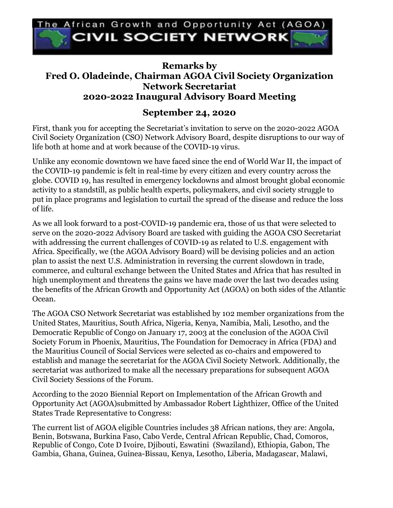

## **Remarks by Fred O. Oladeinde, Chairman AGOA Civil Society Organization Network Secretariat 2020-2022 Inaugural Advisory Board Meeting**

## **September 24, 2020**

First, thank you for accepting the Secretariat's invitation to serve on the 2020-2022 AGOA Civil Society Organization (CSO) Network Advisory Board, despite disruptions to our way of life both at home and at work because of the COVID-19 virus.

Unlike any economic downtown we have faced since the end of World War II, the impact of the COVID-19 pandemic is felt in real-time by every citizen and every country across the globe. COVID 19, has resulted in emergency lockdowns and almost brought global economic activity to a standstill, as public health experts, policymakers, and civil society struggle to put in place programs and legislation to curtail the spread of the disease and reduce the loss of life.

As we all look forward to a post-COVID-19 pandemic era, those of us that were selected to serve on the 2020-2022 Advisory Board are tasked with guiding the AGOA CSO Secretariat with addressing the current challenges of COVID-19 as related to U.S. engagement with Africa. Specifically, we (the AGOA Advisory Board) will be devising policies and an action plan to assist the next U.S. Administration in reversing the current slowdown in trade, commerce, and cultural exchange between the United States and Africa that has resulted in high unemployment and threatens the gains we have made over the last two decades using the benefits of the African Growth and Opportunity Act (AGOA) on both sides of the Atlantic Ocean.

The AGOA CSO Network Secretariat was established by 102 member organizations from the United States, Mauritius, South Africa, Nigeria, Kenya, Namibia, Mali, Lesotho, and the Democratic Republic of Congo on January 17, 2003 at the conclusion of the AGOA Civil Society Forum in Phoenix, Mauritius, The Foundation for Democracy in Africa (FDA) and the Mauritius Council of Social Services were selected as co-chairs and empowered to establish and manage the secretariat for the AGOA Civil Society Network. Additionally, the secretariat was authorized to make all the necessary preparations for subsequent AGOA Civil Society Sessions of the Forum.

According to the 2020 Biennial Report on Implementation of the African Growth and Opportunity Act (AGOA)submitted by Ambassador Robert Lighthizer, Office of the United States Trade Representative to Congress:

The current list of AGOA eligible Countries includes 38 African nations, they are: Angola, Benin, Botswana, Burkina Faso, Cabo Verde, Central African Republic, Chad, Comoros, Republic of Congo, Cote D Ivoire, Djibouti, Eswatini (Swaziland), Ethiopia, Gabon, The Gambia, Ghana, Guinea, Guinea-Bissau, Kenya, Lesotho, Liberia, Madagascar, Malawi,